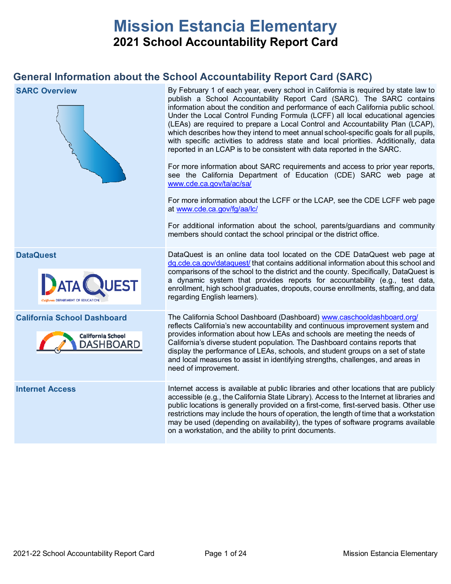# **Mission Estancia Elementary 2021 School Accountability Report Card**

## **General Information about the School Accountability Report Card (SARC)**

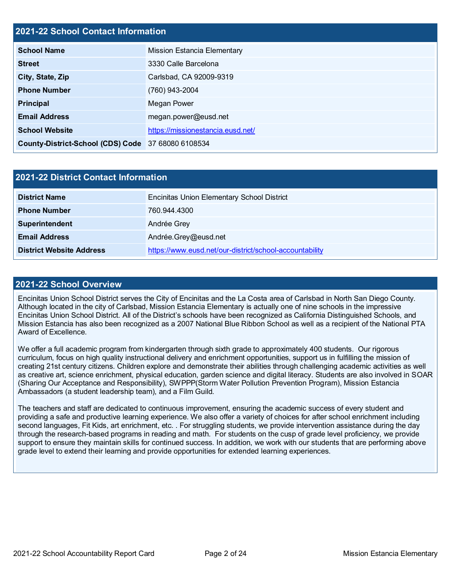## **2021-22 School Contact Information**

| <b>School Name</b>                                 | <b>Mission Estancia Elementary</b> |  |  |  |  |
|----------------------------------------------------|------------------------------------|--|--|--|--|
| <b>Street</b>                                      | 3330 Calle Barcelona               |  |  |  |  |
| City, State, Zip                                   | Carlsbad, CA 92009-9319            |  |  |  |  |
| <b>Phone Number</b>                                | (760) 943-2004                     |  |  |  |  |
| <b>Principal</b>                                   | Megan Power                        |  |  |  |  |
| <b>Email Address</b>                               | megan.power@eusd.net               |  |  |  |  |
| <b>School Website</b>                              | https://missionestancia.eusd.net/  |  |  |  |  |
| County-District-School (CDS) Code 37 68080 6108534 |                                    |  |  |  |  |

| <b>2021-22 District Contact Information</b> |                                                         |  |  |  |
|---------------------------------------------|---------------------------------------------------------|--|--|--|
| <b>District Name</b>                        | <b>Encinitas Union Elementary School District</b>       |  |  |  |
| <b>Phone Number</b>                         | 760.944.4300                                            |  |  |  |
| Superintendent                              | Andrée Grey                                             |  |  |  |
| <b>Email Address</b>                        | Andrée.Grey@eusd.net                                    |  |  |  |
| <b>District Website Address</b>             | https://www.eusd.net/our-district/school-accountability |  |  |  |

#### **2021-22 School Overview**

Encinitas Union School District serves the City of Encinitas and the La Costa area of Carlsbad in North San Diego County. Although located in the city of Carlsbad, Mission Estancia Elementary is actually one of nine schools in the impressive Encinitas Union School District. All of the District's schools have been recognized as California Distinguished Schools, and Mission Estancia has also been recognized as a 2007 National Blue Ribbon School as well as a recipient of the National PTA Award of Excellence.

We offer a full academic program from kindergarten through sixth grade to approximately 400 students. Our rigorous curriculum, focus on high quality instructional delivery and enrichment opportunities, support us in fulfilling the mission of creating 21st century citizens. Children explore and demonstrate their abilities through challenging academic activities as well as creative art, science enrichment, physical education, garden science and digital literacy. Students are also involved in SOAR (Sharing Our Acceptance and Responsibility), SWPPP(Storm Water Pollution Prevention Program), Mission Estancia Ambassadors (a student leadership team), and a Film Guild.

The teachers and staff are dedicated to continuous improvement, ensuring the academic success of every student and providing a safe and productive learning experience. We also offer a variety of choices for after school enrichment including second languages, Fit Kids, art enrichment, etc. . For struggling students, we provide intervention assistance during the day through the research-based programs in reading and math. For students on the cusp of grade level proficiency, we provide support to ensure they maintain skills for continued success. In addition, we work with our students that are performing above grade level to extend their learning and provide opportunities for extended learning experiences.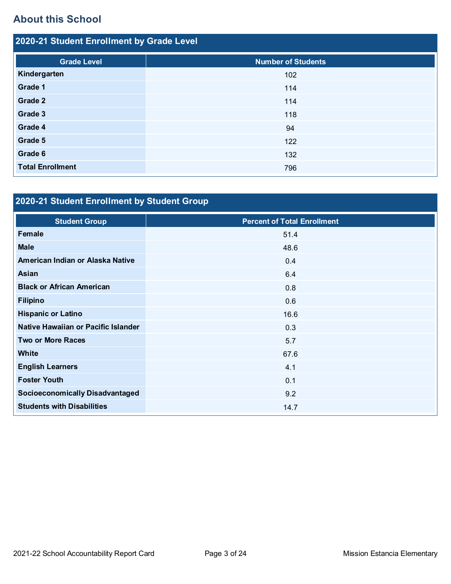## **About this School**

| 2020-21 Student Enrollment by Grade Level |                           |  |  |  |  |
|-------------------------------------------|---------------------------|--|--|--|--|
| <b>Grade Level</b>                        | <b>Number of Students</b> |  |  |  |  |
| Kindergarten                              | 102                       |  |  |  |  |
| Grade 1                                   | 114                       |  |  |  |  |
| Grade 2                                   | 114                       |  |  |  |  |
| Grade 3                                   | 118                       |  |  |  |  |
| Grade 4                                   | 94                        |  |  |  |  |
| Grade 5                                   | 122                       |  |  |  |  |
| Grade 6                                   | 132                       |  |  |  |  |
| <b>Total Enrollment</b>                   | 796                       |  |  |  |  |

# **2020-21 Student Enrollment by Student Group**

| <b>Student Group</b>                   | <b>Percent of Total Enrollment</b> |
|----------------------------------------|------------------------------------|
| Female                                 | 51.4                               |
| <b>Male</b>                            | 48.6                               |
| American Indian or Alaska Native       | 0.4                                |
| Asian                                  | 6.4                                |
| <b>Black or African American</b>       | 0.8                                |
| <b>Filipino</b>                        | 0.6                                |
| <b>Hispanic or Latino</b>              | 16.6                               |
| Native Hawaiian or Pacific Islander    | 0.3                                |
| <b>Two or More Races</b>               | 5.7                                |
| <b>White</b>                           | 67.6                               |
| <b>English Learners</b>                | 4.1                                |
| <b>Foster Youth</b>                    | 0.1                                |
| <b>Socioeconomically Disadvantaged</b> | 9.2                                |
| <b>Students with Disabilities</b>      | 14.7                               |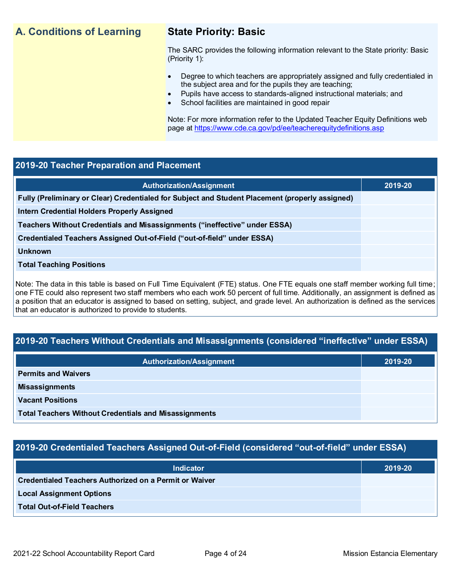## **A. Conditions of Learning State Priority: Basic**

The SARC provides the following information relevant to the State priority: Basic (Priority 1):

- Degree to which teachers are appropriately assigned and fully credentialed in the subject area and for the pupils they are teaching;
	- Pupils have access to standards-aligned instructional materials; and
- School facilities are maintained in good repair

Note: For more information refer to the Updated Teacher Equity Definitions web page at<https://www.cde.ca.gov/pd/ee/teacherequitydefinitions.asp>

## **2019-20 Teacher Preparation and Placement**

| <b>Authorization/Assignment</b>                                                                 | 2019-20 |
|-------------------------------------------------------------------------------------------------|---------|
| Fully (Preliminary or Clear) Credentialed for Subject and Student Placement (properly assigned) |         |
| <b>Intern Credential Holders Properly Assigned</b>                                              |         |
| Teachers Without Credentials and Misassignments ("ineffective" under ESSA)                      |         |
| Credentialed Teachers Assigned Out-of-Field ("out-of-field" under ESSA)                         |         |
| <b>Unknown</b>                                                                                  |         |
| <b>Total Teaching Positions</b>                                                                 |         |
|                                                                                                 |         |

Note: The data in this table is based on Full Time Equivalent (FTE) status. One FTE equals one staff member working full time; one FTE could also represent two staff members who each work 50 percent of full time. Additionally, an assignment is defined as a position that an educator is assigned to based on setting, subject, and grade level. An authorization is defined as the services that an educator is authorized to provide to students.

## **2019-20 Teachers Without Credentials and Misassignments (considered "ineffective" under ESSA)**

| <b>Authorization/Assignment</b>                              | 2019-20 |
|--------------------------------------------------------------|---------|
| <b>Permits and Waivers</b>                                   |         |
| <b>Misassignments</b>                                        |         |
| <b>Vacant Positions</b>                                      |         |
| <b>Total Teachers Without Credentials and Misassignments</b> |         |

## **2019-20 Credentialed Teachers Assigned Out-of-Field (considered "out-of-field" under ESSA)**

| <b>Indicator</b>                                       | 2019-20 |
|--------------------------------------------------------|---------|
| Credentialed Teachers Authorized on a Permit or Waiver |         |
| <b>Local Assignment Options</b>                        |         |
| <b>Total Out-of-Field Teachers</b>                     |         |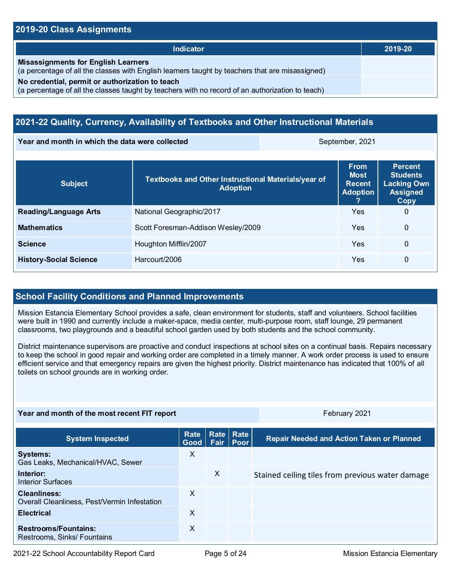## **2019-20 Class Assignments**

| <b>Indicator</b>                                                                                                                                    | 2019-20 |
|-----------------------------------------------------------------------------------------------------------------------------------------------------|---------|
| <b>Misassignments for English Learners</b><br>(a percentage of all the classes with English learners taught by teachers that are misassigned)       |         |
| No credential, permit or authorization to teach<br>(a percentage of all the classes taught by teachers with no record of an authorization to teach) |         |

## **2021-22 Quality, Currency, Availability of Textbooks and Other Instructional Materials**

**Year and month in which the data were collected September, 2021** September, 2021

| <b>Subject</b>                | Textbooks and Other Instructional Materials/year of<br><b>Adoption</b> | <b>From</b><br><b>Most</b><br><b>Recent</b><br><b>Adoption</b> | <b>Percent</b><br><b>Students</b><br><b>Lacking Own</b><br><b>Assigned</b><br>Copy |
|-------------------------------|------------------------------------------------------------------------|----------------------------------------------------------------|------------------------------------------------------------------------------------|
| <b>Reading/Language Arts</b>  | National Geographic/2017                                               | Yes                                                            | 0                                                                                  |
| <b>Mathematics</b>            | Scott Foresman-Addison Wesley/2009                                     | Yes                                                            | 0                                                                                  |
| <b>Science</b>                | Houghton Mifflin/2007                                                  | Yes                                                            | 0                                                                                  |
| <b>History-Social Science</b> | Harcourt/2006                                                          | Yes                                                            | 0                                                                                  |

## **School Facility Conditions and Planned Improvements**

Mission Estancia Elementary School provides a safe, clean environment for students, staff and volunteers. School facilities were built in 1990 and currently include a maker-space, media center, multi-purpose room, staff lounge, 29 permanent classrooms, two playgrounds and a beautiful school garden used by both students and the school community.

District maintenance supervisors are proactive and conduct inspections at school sites on a continual basis. Repairs necessary to keep the school in good repair and working order are completed in a timely manner. A work order process is used to ensure efficient service and that emergency repairs are given the highest priority. District maintenance has indicated that 100% of all toilets on school grounds are in working order.

| Year and month of the most recent FIT report                 |              |   |                          | February 2021                                    |  |
|--------------------------------------------------------------|--------------|---|--------------------------|--------------------------------------------------|--|
| <b>System Inspected</b>                                      | Rate<br>Good |   | Rate Rate<br>Fair   Poor | <b>Repair Needed and Action Taken or Planned</b> |  |
| <b>Systems:</b><br>Gas Leaks, Mechanical/HVAC, Sewer         | X            |   |                          |                                                  |  |
| Interior:<br><b>Interior Surfaces</b>                        |              | X |                          | Stained ceiling tiles from previous water damage |  |
| Cleanliness:<br>Overall Cleanliness, Pest/Vermin Infestation | $\times$     |   |                          |                                                  |  |
| <b>Electrical</b>                                            | X            |   |                          |                                                  |  |
| <b>Restrooms/Fountains:</b><br>Restrooms, Sinks/ Fountains   | $\times$     |   |                          |                                                  |  |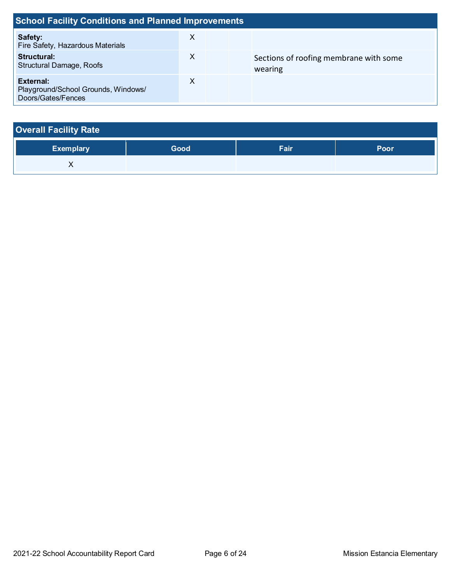| <b>School Facility Conditions and Planned Improvements</b>                    |   |  |                                                   |  |  |
|-------------------------------------------------------------------------------|---|--|---------------------------------------------------|--|--|
| Safety:<br>Fire Safety, Hazardous Materials                                   | X |  |                                                   |  |  |
| Structural:<br><b>Structural Damage, Roofs</b>                                | X |  | Sections of roofing membrane with some<br>wearing |  |  |
| <b>External:</b><br>Playground/School Grounds, Windows/<br>Doors/Gates/Fences | X |  |                                                   |  |  |

| <b>Overall Facility Rate</b> |      |             |      |  |  |  |
|------------------------------|------|-------------|------|--|--|--|
| <b>Exemplary</b>             | Good | <b>Fair</b> | Poor |  |  |  |
|                              |      |             |      |  |  |  |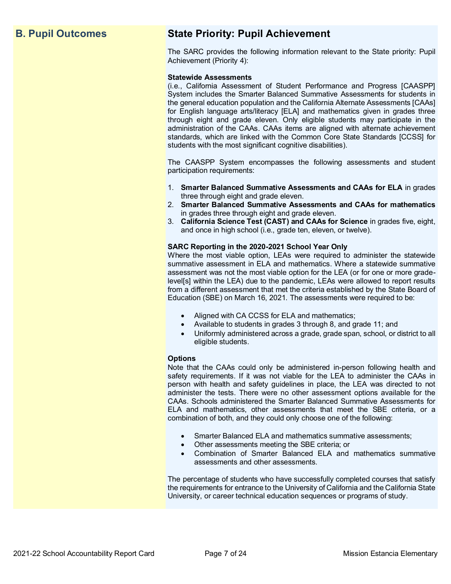## **B. Pupil Outcomes State Priority: Pupil Achievement**

The SARC provides the following information relevant to the State priority: Pupil Achievement (Priority 4):

#### **Statewide Assessments**

(i.e., California Assessment of Student Performance and Progress [CAASPP] System includes the Smarter Balanced Summative Assessments for students in the general education population and the California Alternate Assessments [CAAs] for English language arts/literacy [ELA] and mathematics given in grades three through eight and grade eleven. Only eligible students may participate in the administration of the CAAs. CAAs items are aligned with alternate achievement standards, which are linked with the Common Core State Standards [CCSS] for students with the most significant cognitive disabilities).

The CAASPP System encompasses the following assessments and student participation requirements:

- 1. **Smarter Balanced Summative Assessments and CAAs for ELA** in grades three through eight and grade eleven.
- 2. **Smarter Balanced Summative Assessments and CAAs for mathematics** in grades three through eight and grade eleven.
- 3. **California Science Test (CAST) and CAAs for Science** in grades five, eight, and once in high school (i.e., grade ten, eleven, or twelve).

#### **SARC Reporting in the 2020-2021 School Year Only**

Where the most viable option, LEAs were required to administer the statewide summative assessment in ELA and mathematics. Where a statewide summative assessment was not the most viable option for the LEA (or for one or more gradelevel[s] within the LEA) due to the pandemic, LEAs were allowed to report results from a different assessment that met the criteria established by the State Board of Education (SBE) on March 16, 2021. The assessments were required to be:

- Aligned with CA CCSS for ELA and mathematics;
- Available to students in grades 3 through 8, and grade 11; and
- Uniformly administered across a grade, grade span, school, or district to all eligible students.

#### **Options**

Note that the CAAs could only be administered in-person following health and safety requirements. If it was not viable for the LEA to administer the CAAs in person with health and safety guidelines in place, the LEA was directed to not administer the tests. There were no other assessment options available for the CAAs. Schools administered the Smarter Balanced Summative Assessments for ELA and mathematics, other assessments that meet the SBE criteria, or a combination of both, and they could only choose one of the following:

- Smarter Balanced ELA and mathematics summative assessments;
- Other assessments meeting the SBE criteria; or
- Combination of Smarter Balanced ELA and mathematics summative assessments and other assessments.

The percentage of students who have successfully completed courses that satisfy the requirements for entrance to the University of California and the California State University, or career technical education sequences or programs of study.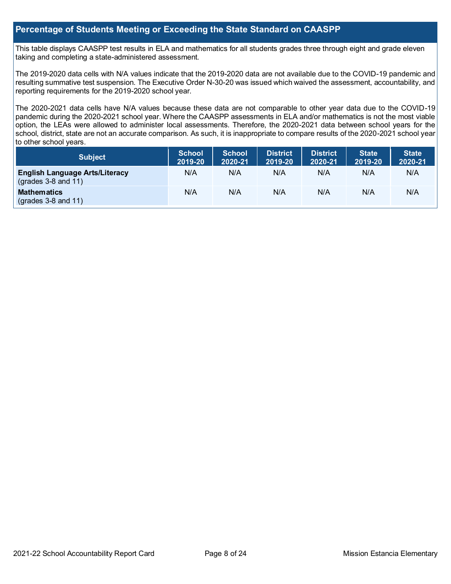## **Percentage of Students Meeting or Exceeding the State Standard on CAASPP**

This table displays CAASPP test results in ELA and mathematics for all students grades three through eight and grade eleven taking and completing a state-administered assessment.

The 2019-2020 data cells with N/A values indicate that the 2019-2020 data are not available due to the COVID-19 pandemic and resulting summative test suspension. The Executive Order N-30-20 was issued which waived the assessment, accountability, and reporting requirements for the 2019-2020 school year.

The 2020-2021 data cells have N/A values because these data are not comparable to other year data due to the COVID-19 pandemic during the 2020-2021 school year. Where the CAASPP assessments in ELA and/or mathematics is not the most viable option, the LEAs were allowed to administer local assessments. Therefore, the 2020-2021 data between school years for the school, district, state are not an accurate comparison. As such, it is inappropriate to compare results of the 2020-2021 school year to other school years.

| <b>Subject</b>                                                 | <b>School</b><br>2019-20 | <b>School</b><br>2020-21 | <b>District</b><br>2019-20 | <b>District</b><br>2020-21 | <b>State</b><br>2019-20 | <b>State</b><br>2020-21 |
|----------------------------------------------------------------|--------------------------|--------------------------|----------------------------|----------------------------|-------------------------|-------------------------|
| <b>English Language Arts/Literacy</b><br>$(grades 3-8 and 11)$ | N/A                      | N/A                      | N/A                        | N/A                        | N/A                     | N/A                     |
| <b>Mathematics</b><br>$(grades 3-8 and 11)$                    | N/A                      | N/A                      | N/A                        | N/A                        | N/A                     | N/A                     |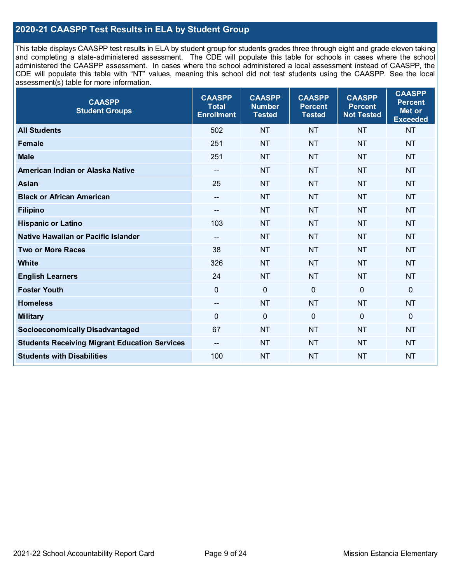## **2020-21 CAASPP Test Results in ELA by Student Group**

This table displays CAASPP test results in ELA by student group for students grades three through eight and grade eleven taking and completing a state-administered assessment. The CDE will populate this table for schools in cases where the school administered the CAASPP assessment. In cases where the school administered a local assessment instead of CAASPP, the CDE will populate this table with "NT" values, meaning this school did not test students using the CAASPP. See the local assessment(s) table for more information.

| <b>CAASPP</b><br><b>Student Groups</b>               | <b>CAASPP</b><br><b>Total</b><br><b>Enrollment</b> | <b>CAASPP</b><br><b>Number</b><br><b>Tested</b> | <b>CAASPP</b><br><b>Percent</b><br><b>Tested</b> | <b>CAASPP</b><br><b>Percent</b><br><b>Not Tested</b> | <b>CAASPP</b><br><b>Percent</b><br>Met or<br><b>Exceeded</b> |
|------------------------------------------------------|----------------------------------------------------|-------------------------------------------------|--------------------------------------------------|------------------------------------------------------|--------------------------------------------------------------|
| <b>All Students</b>                                  | 502                                                | <b>NT</b>                                       | <b>NT</b>                                        | <b>NT</b>                                            | <b>NT</b>                                                    |
| <b>Female</b>                                        | 251                                                | <b>NT</b>                                       | <b>NT</b>                                        | <b>NT</b>                                            | <b>NT</b>                                                    |
| <b>Male</b>                                          | 251                                                | <b>NT</b>                                       | <b>NT</b>                                        | <b>NT</b>                                            | <b>NT</b>                                                    |
| American Indian or Alaska Native                     | $\overline{\phantom{a}}$                           | <b>NT</b>                                       | <b>NT</b>                                        | <b>NT</b>                                            | <b>NT</b>                                                    |
| <b>Asian</b>                                         | 25                                                 | <b>NT</b>                                       | <b>NT</b>                                        | <b>NT</b>                                            | <b>NT</b>                                                    |
| <b>Black or African American</b>                     | --                                                 | <b>NT</b>                                       | <b>NT</b>                                        | <b>NT</b>                                            | <b>NT</b>                                                    |
| <b>Filipino</b>                                      | $-$                                                | <b>NT</b>                                       | <b>NT</b>                                        | <b>NT</b>                                            | <b>NT</b>                                                    |
| <b>Hispanic or Latino</b>                            | 103                                                | <b>NT</b>                                       | <b>NT</b>                                        | <b>NT</b>                                            | <b>NT</b>                                                    |
| Native Hawaiian or Pacific Islander                  | $\overline{\phantom{a}}$                           | <b>NT</b>                                       | <b>NT</b>                                        | <b>NT</b>                                            | <b>NT</b>                                                    |
| <b>Two or More Races</b>                             | 38                                                 | <b>NT</b>                                       | <b>NT</b>                                        | <b>NT</b>                                            | <b>NT</b>                                                    |
| <b>White</b>                                         | 326                                                | <b>NT</b>                                       | <b>NT</b>                                        | <b>NT</b>                                            | <b>NT</b>                                                    |
| <b>English Learners</b>                              | 24                                                 | <b>NT</b>                                       | <b>NT</b>                                        | <b>NT</b>                                            | <b>NT</b>                                                    |
| <b>Foster Youth</b>                                  | 0                                                  | $\mathbf 0$                                     | $\overline{0}$                                   | $\overline{0}$                                       | $\mathbf 0$                                                  |
| <b>Homeless</b>                                      | $\hspace{0.05cm}$ – $\hspace{0.05cm}$              | <b>NT</b>                                       | <b>NT</b>                                        | <b>NT</b>                                            | <b>NT</b>                                                    |
| <b>Military</b>                                      | 0                                                  | $\pmb{0}$                                       | $\mathbf 0$                                      | $\overline{0}$                                       | 0                                                            |
| <b>Socioeconomically Disadvantaged</b>               | 67                                                 | <b>NT</b>                                       | <b>NT</b>                                        | <b>NT</b>                                            | <b>NT</b>                                                    |
| <b>Students Receiving Migrant Education Services</b> | $- -$                                              | <b>NT</b>                                       | <b>NT</b>                                        | <b>NT</b>                                            | <b>NT</b>                                                    |
| <b>Students with Disabilities</b>                    | 100                                                | <b>NT</b>                                       | <b>NT</b>                                        | <b>NT</b>                                            | <b>NT</b>                                                    |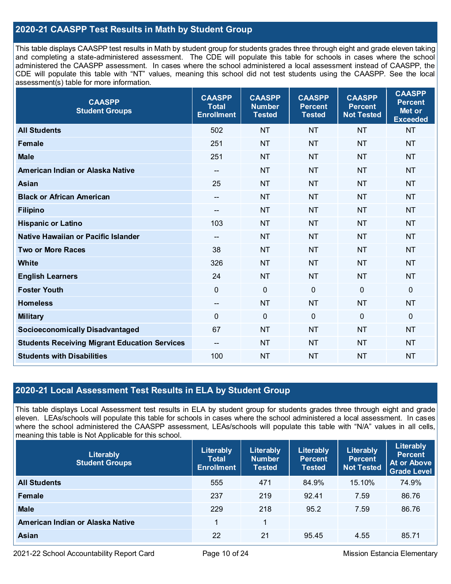## **2020-21 CAASPP Test Results in Math by Student Group**

This table displays CAASPP test results in Math by student group for students grades three through eight and grade eleven taking and completing a state-administered assessment. The CDE will populate this table for schools in cases where the school administered the CAASPP assessment. In cases where the school administered a local assessment instead of CAASPP, the CDE will populate this table with "NT" values, meaning this school did not test students using the CAASPP. See the local assessment(s) table for more information.

| <b>CAASPP</b><br><b>Student Groups</b>               | <b>CAASPP</b><br><b>Total</b><br><b>Enrollment</b> | <b>CAASPP</b><br><b>Number</b><br><b>Tested</b> | <b>CAASPP</b><br><b>Percent</b><br><b>Tested</b> | <b>CAASPP</b><br><b>Percent</b><br><b>Not Tested</b> | <b>CAASPP</b><br><b>Percent</b><br>Met or<br><b>Exceeded</b> |
|------------------------------------------------------|----------------------------------------------------|-------------------------------------------------|--------------------------------------------------|------------------------------------------------------|--------------------------------------------------------------|
| <b>All Students</b>                                  | 502                                                | <b>NT</b>                                       | <b>NT</b>                                        | <b>NT</b>                                            | <b>NT</b>                                                    |
| <b>Female</b>                                        | 251                                                | <b>NT</b>                                       | <b>NT</b>                                        | <b>NT</b>                                            | <b>NT</b>                                                    |
| <b>Male</b>                                          | 251                                                | <b>NT</b>                                       | <b>NT</b>                                        | <b>NT</b>                                            | <b>NT</b>                                                    |
| American Indian or Alaska Native                     | $\overline{\phantom{a}}$                           | <b>NT</b>                                       | <b>NT</b>                                        | <b>NT</b>                                            | <b>NT</b>                                                    |
| Asian                                                | 25                                                 | <b>NT</b>                                       | <b>NT</b>                                        | <b>NT</b>                                            | <b>NT</b>                                                    |
| <b>Black or African American</b>                     | $\hspace{0.05cm}$ – $\hspace{0.05cm}$              | NT                                              | <b>NT</b>                                        | <b>NT</b>                                            | <b>NT</b>                                                    |
| <b>Filipino</b>                                      | $\overline{a}$                                     | <b>NT</b>                                       | <b>NT</b>                                        | <b>NT</b>                                            | <b>NT</b>                                                    |
| <b>Hispanic or Latino</b>                            | 103                                                | <b>NT</b>                                       | <b>NT</b>                                        | <b>NT</b>                                            | <b>NT</b>                                                    |
| Native Hawaiian or Pacific Islander                  | --                                                 | <b>NT</b>                                       | <b>NT</b>                                        | <b>NT</b>                                            | <b>NT</b>                                                    |
| <b>Two or More Races</b>                             | 38                                                 | <b>NT</b>                                       | <b>NT</b>                                        | <b>NT</b>                                            | <b>NT</b>                                                    |
| <b>White</b>                                         | 326                                                | <b>NT</b>                                       | <b>NT</b>                                        | <b>NT</b>                                            | <b>NT</b>                                                    |
| <b>English Learners</b>                              | 24                                                 | <b>NT</b>                                       | <b>NT</b>                                        | <b>NT</b>                                            | <b>NT</b>                                                    |
| <b>Foster Youth</b>                                  | $\mathbf 0$                                        | $\mathbf 0$                                     | $\mathbf 0$                                      | $\Omega$                                             | $\mathbf 0$                                                  |
| <b>Homeless</b>                                      | $\hspace{0.05cm}$ – $\hspace{0.05cm}$              | <b>NT</b>                                       | <b>NT</b>                                        | <b>NT</b>                                            | <b>NT</b>                                                    |
| <b>Military</b>                                      | $\mathbf 0$                                        | $\mathbf 0$                                     | $\mathbf 0$                                      | $\mathbf 0$                                          | $\mathbf 0$                                                  |
| <b>Socioeconomically Disadvantaged</b>               | 67                                                 | <b>NT</b>                                       | <b>NT</b>                                        | <b>NT</b>                                            | <b>NT</b>                                                    |
| <b>Students Receiving Migrant Education Services</b> | $-$                                                | <b>NT</b>                                       | <b>NT</b>                                        | <b>NT</b>                                            | <b>NT</b>                                                    |
| <b>Students with Disabilities</b>                    | 100                                                | <b>NT</b>                                       | <b>NT</b>                                        | <b>NT</b>                                            | <b>NT</b>                                                    |

## **2020-21 Local Assessment Test Results in ELA by Student Group**

This table displays Local Assessment test results in ELA by student group for students grades three through eight and grade eleven. LEAs/schools will populate this table for schools in cases where the school administered a local assessment. In cases where the school administered the CAASPP assessment, LEAs/schools will populate this table with "N/A" values in all cells, meaning this table is Not Applicable for this school.

| Literably<br><b>Student Groups</b> | Literably<br><b>Total</b><br><b>Enrollment</b> | Literably<br><b>Number</b><br><b>Tested</b> | Literably<br><b>Percent</b><br><b>Tested</b> | Literably<br><b>Percent</b><br><b>Not Tested</b> | Literably<br><b>Percent</b><br>At or Above<br><b>Grade Level</b> |
|------------------------------------|------------------------------------------------|---------------------------------------------|----------------------------------------------|--------------------------------------------------|------------------------------------------------------------------|
| <b>All Students</b>                | 555                                            | 471                                         | 84.9%                                        | 15.10%                                           | 74.9%                                                            |
| Female                             | 237                                            | 219                                         | 92.41                                        | 7.59                                             | 86.76                                                            |
| <b>Male</b>                        | 229                                            | 218                                         | 95.2                                         | 7.59                                             | 86.76                                                            |
| American Indian or Alaska Native   |                                                | 1                                           |                                              |                                                  |                                                                  |
| <b>Asian</b>                       | 22                                             | 21                                          | 95.45                                        | 4.55                                             | 85.71                                                            |

2021-22 School Accountability Report Card Page 10 of 24 Mission Estancia Elementary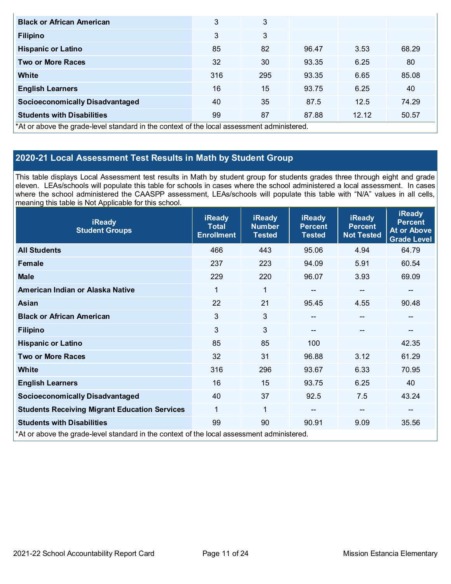| <b>Black or African American</b>                                                           | 3   | 3   |       |       |       |
|--------------------------------------------------------------------------------------------|-----|-----|-------|-------|-------|
|                                                                                            |     |     |       |       |       |
| <b>Filipino</b>                                                                            | 3   | 3   |       |       |       |
| <b>Hispanic or Latino</b>                                                                  | 85  | 82  | 96.47 | 3.53  | 68.29 |
| <b>Two or More Races</b>                                                                   | 32  | 30  | 93.35 | 6.25  | 80    |
| White                                                                                      | 316 | 295 | 93.35 | 6.65  | 85.08 |
| <b>English Learners</b>                                                                    | 16  | 15  | 93.75 | 6.25  | 40    |
| <b>Socioeconomically Disadvantaged</b>                                                     | 40  | 35  | 87.5  | 12.5  | 74.29 |
| <b>Students with Disabilities</b>                                                          | 99  | 87  | 87.88 | 12.12 | 50.57 |
| *At or above the grade-level standard in the context of the local assessment administered. |     |     |       |       |       |

## **2020-21 Local Assessment Test Results in Math by Student Group**

This table displays Local Assessment test results in Math by student group for students grades three through eight and grade eleven. LEAs/schools will populate this table for schools in cases where the school administered a local assessment. In cases where the school administered the CAASPP assessment, LEAs/schools will populate this table with "N/A" values in all cells, meaning this table is Not Applicable for this school.

| <b>iReady</b><br><b>Student Groups</b>                                                     | <b>iReady</b><br><b>Total</b><br><b>Enrollment</b> | <b>iReady</b><br><b>Number</b><br><b>Tested</b> | <b>iReady</b><br><b>Percent</b><br><b>Tested</b> | <b>iReady</b><br><b>Percent</b><br><b>Not Tested</b> | <b>iReady</b><br><b>Percent</b><br><b>At or Above</b><br><b>Grade Level</b> |
|--------------------------------------------------------------------------------------------|----------------------------------------------------|-------------------------------------------------|--------------------------------------------------|------------------------------------------------------|-----------------------------------------------------------------------------|
| <b>All Students</b>                                                                        | 466                                                | 443                                             | 95.06                                            | 4.94                                                 | 64.79                                                                       |
| Female                                                                                     | 237                                                | 223                                             | 94.09                                            | 5.91                                                 | 60.54                                                                       |
| <b>Male</b>                                                                                | 229                                                | 220                                             | 96.07                                            | 3.93                                                 | 69.09                                                                       |
| American Indian or Alaska Native                                                           | 1                                                  | 1                                               | $\qquad \qquad -$                                | $\overline{\phantom{a}}$                             | --                                                                          |
| <b>Asian</b>                                                                               | 22                                                 | 21                                              | 95.45                                            | 4.55                                                 | 90.48                                                                       |
| <b>Black or African American</b>                                                           | 3                                                  | 3                                               | $-$                                              | --                                                   | $\overline{\phantom{m}}$                                                    |
| <b>Filipino</b>                                                                            | 3                                                  | 3                                               | --                                               |                                                      | --                                                                          |
| <b>Hispanic or Latino</b>                                                                  | 85                                                 | 85                                              | 100                                              |                                                      | 42.35                                                                       |
| <b>Two or More Races</b>                                                                   | 32                                                 | 31                                              | 96.88                                            | 3.12                                                 | 61.29                                                                       |
| <b>White</b>                                                                               | 316                                                | 296                                             | 93.67                                            | 6.33                                                 | 70.95                                                                       |
| <b>English Learners</b>                                                                    | 16                                                 | 15                                              | 93.75                                            | 6.25                                                 | 40                                                                          |
| <b>Socioeconomically Disadvantaged</b>                                                     | 40                                                 | 37                                              | 92.5                                             | 7.5                                                  | 43.24                                                                       |
| <b>Students Receiving Migrant Education Services</b>                                       | 1                                                  | 1                                               |                                                  | --                                                   | $\qquad \qquad \qquad -$                                                    |
| <b>Students with Disabilities</b>                                                          | 99                                                 | 90                                              | 90.91                                            | 9.09                                                 | 35.56                                                                       |
| *At or above the grade-level standard in the context of the local assessment administered. |                                                    |                                                 |                                                  |                                                      |                                                                             |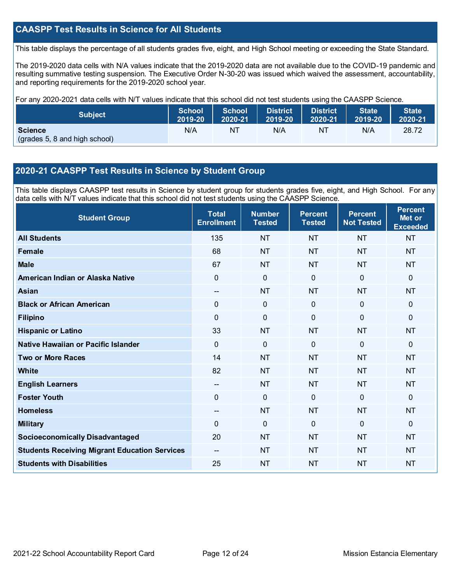## **CAASPP Test Results in Science for All Students**

This table displays the percentage of all students grades five, eight, and High School meeting or exceeding the State Standard.

The 2019-2020 data cells with N/A values indicate that the 2019-2020 data are not available due to the COVID-19 pandemic and resulting summative testing suspension. The Executive Order N-30-20 was issued which waived the assessment, accountability, and reporting requirements for the 2019-2020 school year.

For any 2020-2021 data cells with N/T values indicate that this school did not test students using the CAASPP Science.

| <b>Subject</b>                                  | <b>School</b> | <b>School</b> | <b>District</b> | <b>District</b> | <b>State</b> | <b>State</b> |
|-------------------------------------------------|---------------|---------------|-----------------|-----------------|--------------|--------------|
|                                                 | 2019-20       | 2020-21       | 2019-20         | 2020-21         | 2019-20      | 2020-21      |
| <b>Science</b><br>(grades 5, 8 and high school) | N/A           | NT            | N/A             | NT              | N/A          | 28.72        |

## **2020-21 CAASPP Test Results in Science by Student Group**

This table displays CAASPP test results in Science by student group for students grades five, eight, and High School. For any data cells with N/T values indicate that this school did not test students using the CAASPP Science.

| <b>Student Group</b>                                 | <b>Total</b><br><b>Enrollment</b> | <b>Number</b><br><b>Tested</b> | <b>Percent</b><br><b>Tested</b> | <b>Percent</b><br><b>Not Tested</b> | <b>Percent</b><br>Met or<br><b>Exceeded</b> |
|------------------------------------------------------|-----------------------------------|--------------------------------|---------------------------------|-------------------------------------|---------------------------------------------|
| <b>All Students</b>                                  | 135                               | <b>NT</b>                      | <b>NT</b>                       | <b>NT</b>                           | <b>NT</b>                                   |
| <b>Female</b>                                        | 68                                | <b>NT</b>                      | <b>NT</b>                       | <b>NT</b>                           | <b>NT</b>                                   |
| <b>Male</b>                                          | 67                                | <b>NT</b>                      | <b>NT</b>                       | <b>NT</b>                           | <b>NT</b>                                   |
| American Indian or Alaska Native                     | 0                                 | $\mathbf 0$                    | $\mathbf{0}$                    | $\mathbf 0$                         | $\mathbf 0$                                 |
| <b>Asian</b>                                         | $-$                               | <b>NT</b>                      | <b>NT</b>                       | <b>NT</b>                           | <b>NT</b>                                   |
| <b>Black or African American</b>                     | 0                                 | $\mathbf 0$                    | $\mathbf 0$                     | $\mathbf 0$                         | $\mathbf 0$                                 |
| <b>Filipino</b>                                      | 0                                 | $\mathbf 0$                    | $\mathbf{0}$                    | $\Omega$                            | $\mathbf 0$                                 |
| <b>Hispanic or Latino</b>                            | 33                                | <b>NT</b>                      | <b>NT</b>                       | <b>NT</b>                           | <b>NT</b>                                   |
| Native Hawaiian or Pacific Islander                  | $\overline{0}$                    | $\overline{0}$                 | $\mathbf 0$                     | $\overline{0}$                      | $\mathbf 0$                                 |
| <b>Two or More Races</b>                             | 14                                | <b>NT</b>                      | <b>NT</b>                       | <b>NT</b>                           | <b>NT</b>                                   |
| White                                                | 82                                | <b>NT</b>                      | <b>NT</b>                       | <b>NT</b>                           | <b>NT</b>                                   |
| <b>English Learners</b>                              | --                                | <b>NT</b>                      | <b>NT</b>                       | <b>NT</b>                           | <b>NT</b>                                   |
| <b>Foster Youth</b>                                  | 0                                 | $\mathbf 0$                    | $\mathbf 0$                     | $\mathbf 0$                         | $\mathbf 0$                                 |
| <b>Homeless</b>                                      | $-$                               | <b>NT</b>                      | <b>NT</b>                       | <b>NT</b>                           | <b>NT</b>                                   |
| <b>Military</b>                                      | 0                                 | 0                              | $\mathbf{0}$                    | $\mathbf{0}$                        | $\Omega$                                    |
| <b>Socioeconomically Disadvantaged</b>               | 20                                | <b>NT</b>                      | <b>NT</b>                       | <b>NT</b>                           | <b>NT</b>                                   |
| <b>Students Receiving Migrant Education Services</b> |                                   | <b>NT</b>                      | <b>NT</b>                       | <b>NT</b>                           | <b>NT</b>                                   |
| <b>Students with Disabilities</b>                    | 25                                | <b>NT</b>                      | <b>NT</b>                       | <b>NT</b>                           | <b>NT</b>                                   |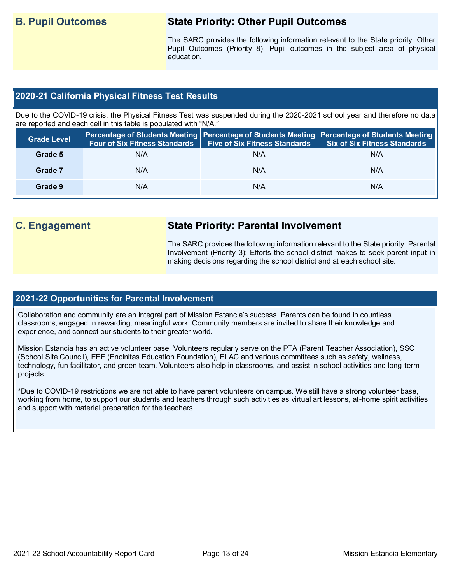## **B. Pupil Outcomes State Priority: Other Pupil Outcomes**

The SARC provides the following information relevant to the State priority: Other Pupil Outcomes (Priority 8): Pupil outcomes in the subject area of physical education.

## **2020-21 California Physical Fitness Test Results**

Due to the COVID-19 crisis, the Physical Fitness Test was suspended during the 2020-2021 school year and therefore no data are reported and each cell in this table is populated with "N/A."

| <b>Grade Level</b> | <b>Four of Six Fitness Standards</b> | Five of Six Fitness Standards   Six of Six Fitness Standards | Percentage of Students Meeting Percentage of Students Meeting Percentage of Students Meeting |
|--------------------|--------------------------------------|--------------------------------------------------------------|----------------------------------------------------------------------------------------------|
| Grade 5            | N/A                                  | N/A                                                          | N/A                                                                                          |
| Grade 7            | N/A                                  | N/A                                                          | N/A                                                                                          |
| Grade 9            | N/A                                  | N/A                                                          | N/A                                                                                          |

## **C. Engagement State Priority: Parental Involvement**

The SARC provides the following information relevant to the State priority: Parental Involvement (Priority 3): Efforts the school district makes to seek parent input in making decisions regarding the school district and at each school site.

### **2021-22 Opportunities for Parental Involvement**

Collaboration and community are an integral part of Mission Estancia's success. Parents can be found in countless classrooms, engaged in rewarding, meaningful work. Community members are invited to share their knowledge and experience, and connect our students to their greater world.

Mission Estancia has an active volunteer base. Volunteers regularly serve on the PTA (Parent Teacher Association), SSC (School Site Council), EEF (Encinitas Education Foundation), ELAC and various committees such as safety, wellness, technology, fun facilitator, and green team. Volunteers also help in classrooms, and assist in school activities and long-term projects.

\*Due to COVID-19 restrictions we are not able to have parent volunteers on campus. We still have a strong volunteer base, working from home, to support our students and teachers through such activities as virtual art lessons, at-home spirit activities and support with material preparation for the teachers.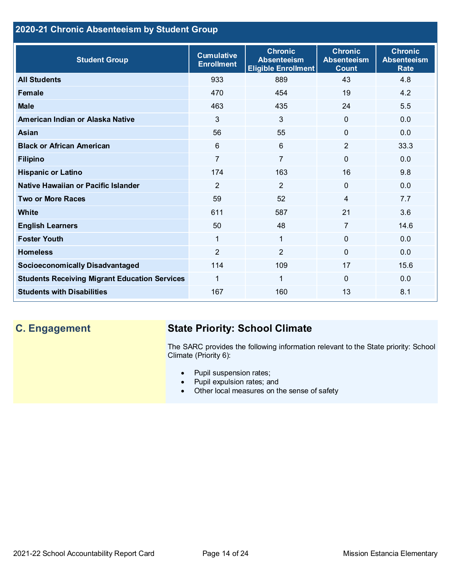## **2020-21 Chronic Absenteeism by Student Group**

| <b>Student Group</b>                                 | <b>Cumulative</b><br><b>Enrollment</b> | <b>Chronic</b><br><b>Absenteeism</b><br><b>Eligible Enrollment</b> | <b>Chronic</b><br><b>Absenteeism</b><br><b>Count</b> | <b>Chronic</b><br><b>Absenteeism</b><br><b>Rate</b> |
|------------------------------------------------------|----------------------------------------|--------------------------------------------------------------------|------------------------------------------------------|-----------------------------------------------------|
| <b>All Students</b>                                  | 933                                    | 889                                                                | 43                                                   | 4.8                                                 |
| <b>Female</b>                                        | 470                                    | 454                                                                | 19                                                   | 4.2                                                 |
| <b>Male</b>                                          | 463                                    | 435                                                                | 24                                                   | 5.5                                                 |
| American Indian or Alaska Native                     | 3                                      | $\mathbf{3}$                                                       | $\Omega$                                             | 0.0                                                 |
| <b>Asian</b>                                         | 56                                     | 55                                                                 | $\mathbf 0$                                          | 0.0                                                 |
| <b>Black or African American</b>                     | $6\phantom{1}$                         | $6\phantom{1}$                                                     | $\overline{2}$                                       | 33.3                                                |
| <b>Filipino</b>                                      | $\overline{7}$                         | $\overline{7}$                                                     | $\Omega$                                             | 0.0                                                 |
| <b>Hispanic or Latino</b>                            | 174                                    | 163                                                                | 16                                                   | 9.8                                                 |
| Native Hawaiian or Pacific Islander                  | $\overline{2}$                         | $\overline{2}$                                                     | $\Omega$                                             | 0.0                                                 |
| <b>Two or More Races</b>                             | 59                                     | 52                                                                 | 4                                                    | 7.7                                                 |
| <b>White</b>                                         | 611                                    | 587                                                                | 21                                                   | 3.6                                                 |
| <b>English Learners</b>                              | 50                                     | 48                                                                 | 7                                                    | 14.6                                                |
| <b>Foster Youth</b>                                  |                                        | $\mathbf{1}$                                                       | $\Omega$                                             | 0.0                                                 |
| <b>Homeless</b>                                      | $\overline{2}$                         | $\overline{2}$                                                     | $\Omega$                                             | 0.0                                                 |
| <b>Socioeconomically Disadvantaged</b>               | 114                                    | 109                                                                | 17                                                   | 15.6                                                |
| <b>Students Receiving Migrant Education Services</b> | 1                                      | $\mathbf{1}$                                                       | $\Omega$                                             | 0.0                                                 |
| <b>Students with Disabilities</b>                    | 167                                    | 160                                                                | 13                                                   | 8.1                                                 |

## **C. Engagement State Priority: School Climate**

The SARC provides the following information relevant to the State priority: School Climate (Priority 6):

- Pupil suspension rates;
- Pupil expulsion rates; and
- Other local measures on the sense of safety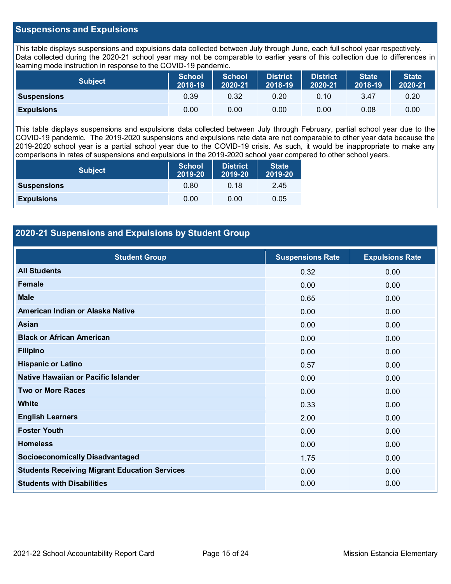## **Suspensions and Expulsions**

This table displays suspensions and expulsions data collected between July through June, each full school year respectively. Data collected during the 2020-21 school year may not be comparable to earlier years of this collection due to differences in learning mode instruction in response to the COVID-19 pandemic.

| Subject            | School<br>2018-19 | <b>School</b><br>2020-21 | <b>District</b><br>2018-19 | District<br>2020-21 | <b>State</b><br>2018-19 | <b>State</b><br>2020-21 |
|--------------------|-------------------|--------------------------|----------------------------|---------------------|-------------------------|-------------------------|
| <b>Suspensions</b> | 0.39              | 0.32                     | 0.20                       | 0.10                | 3.47                    | 0.20                    |
| <b>Expulsions</b>  | 0.00              | 0.00                     | 0.00                       | 0.00                | 0.08                    | 0.00                    |

This table displays suspensions and expulsions data collected between July through February, partial school year due to the COVID-19 pandemic. The 2019-2020 suspensions and expulsions rate data are not comparable to other year data because the 2019-2020 school year is a partial school year due to the COVID-19 crisis. As such, it would be inappropriate to make any comparisons in rates of suspensions and expulsions in the 2019-2020 school year compared to other school years.

| <b>Subject</b>     | <b>School</b><br>2019-20 | <b>District</b><br>2019-20 | <b>State</b><br>2019-20 |
|--------------------|--------------------------|----------------------------|-------------------------|
| <b>Suspensions</b> | 0.80                     | 0.18                       | 2.45                    |
| <b>Expulsions</b>  | 0.00                     | 0.00                       | 0.05                    |

## **2020-21 Suspensions and Expulsions by Student Group**

| <b>Student Group</b>                                 | <b>Suspensions Rate</b> | <b>Expulsions Rate</b> |
|------------------------------------------------------|-------------------------|------------------------|
| <b>All Students</b>                                  | 0.32                    | 0.00                   |
| Female                                               | 0.00                    | 0.00                   |
| <b>Male</b>                                          | 0.65                    | 0.00                   |
| American Indian or Alaska Native                     | 0.00                    | 0.00                   |
| Asian                                                | 0.00                    | 0.00                   |
| <b>Black or African American</b>                     | 0.00                    | 0.00                   |
| <b>Filipino</b>                                      | 0.00                    | 0.00                   |
| <b>Hispanic or Latino</b>                            | 0.57                    | 0.00                   |
| Native Hawaiian or Pacific Islander                  | 0.00                    | 0.00                   |
| <b>Two or More Races</b>                             | 0.00                    | 0.00                   |
| White                                                | 0.33                    | 0.00                   |
| <b>English Learners</b>                              | 2.00                    | 0.00                   |
| <b>Foster Youth</b>                                  | 0.00                    | 0.00                   |
| <b>Homeless</b>                                      | 0.00                    | 0.00                   |
| <b>Socioeconomically Disadvantaged</b>               | 1.75                    | 0.00                   |
| <b>Students Receiving Migrant Education Services</b> | 0.00                    | 0.00                   |
| <b>Students with Disabilities</b>                    | 0.00                    | 0.00                   |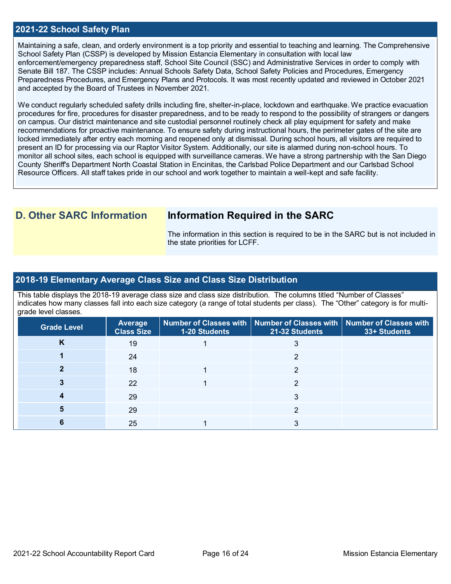### **2021-22 School Safety Plan**

Maintaining a safe, clean, and orderly environment is a top priority and essential to teaching and learning. The Comprehensive School Safety Plan (CSSP) is developed by Mission Estancia Elementary in consultation with local law enforcement/emergency preparedness staff, School Site Council (SSC) and Administrative Services in order to comply with Senate Bill 187. The CSSP includes: Annual Schools Safety Data, School Safety Policies and Procedures, Emergency Preparedness Procedures, and Emergency Plans and Protocols. It was most recently updated and reviewed in October 2021 and accepted by the Board of Trustees in November 2021.

We conduct regularly scheduled safety drills including fire, shelter-in-place, lockdown and earthquake. We practice evacuation procedures for fire, procedures for disaster preparedness, and to be ready to respond to the possibility of strangers or dangers on campus. Our district maintenance and site custodial personnel routinely check all play equipment for safety and make recommendations for proactive maintenance. To ensure safety during instructional hours, the perimeter gates of the site are locked immediately after entry each morning and reopened only at dismissal. During school hours, all visitors are required to present an ID for processing via our Raptor Visitor System. Additionally, our site is alarmed during non-school hours. To monitor all school sites, each school is equipped with surveillance cameras. We have a strong partnership with the San Diego County Sheriff's Department North Coastal Station in Encinitas, the Carlsbad Police Department and our Carlsbad School Resource Officers. All staff takes pride in our school and work together to maintain a well-kept and safe facility.

## **D. Other SARC Information Information Required in the SARC**

The information in this section is required to be in the SARC but is not included in the state priorities for LCFF.

### **2018-19 Elementary Average Class Size and Class Size Distribution**

This table displays the 2018-19 average class size and class size distribution. The columns titled "Number of Classes" indicates how many classes fall into each size category (a range of total students per class). The "Other" category is for multigrade level classes.

| <b>Grade Level</b> | <b>Average</b><br><b>Class Size</b> | 1-20 Students | Number of Classes with   Number of Classes with   Number of Classes with<br>21-32 Students | 33+ Students |
|--------------------|-------------------------------------|---------------|--------------------------------------------------------------------------------------------|--------------|
| ĸ                  | 19                                  |               |                                                                                            |              |
|                    | 24                                  |               |                                                                                            |              |
|                    | 18                                  |               |                                                                                            |              |
|                    | 22                                  |               | ⌒                                                                                          |              |
|                    | 29                                  |               |                                                                                            |              |
|                    | 29                                  |               |                                                                                            |              |
|                    | 25                                  |               |                                                                                            |              |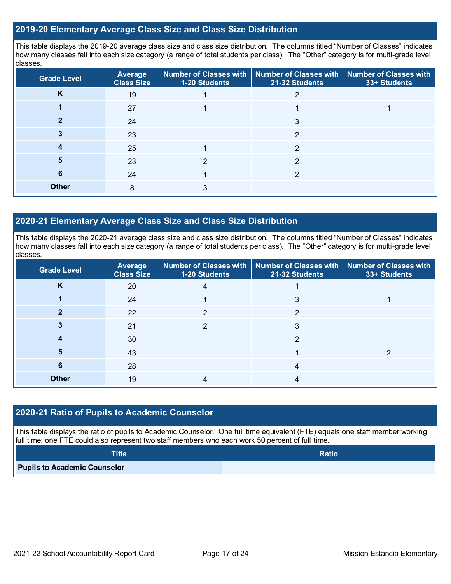## **2019-20 Elementary Average Class Size and Class Size Distribution**

This table displays the 2019-20 average class size and class size distribution. The columns titled "Number of Classes" indicates how many classes fall into each size category (a range of total students per class). The "Other" category is for multi-grade level classes.

| <b>Grade Level</b> | Average<br><b>Class Size</b> | 1-20 Students | Number of Classes with   Number of Classes with   Number of Classes with<br>21-32 Students | 33+ Students |
|--------------------|------------------------------|---------------|--------------------------------------------------------------------------------------------|--------------|
| K                  | 19                           |               |                                                                                            |              |
|                    | 27                           |               |                                                                                            |              |
|                    | 24                           |               | 3                                                                                          |              |
|                    | 23                           |               | 2                                                                                          |              |
|                    | 25                           |               | $\mathfrak{p}$                                                                             |              |
| 5                  | 23                           |               | າ                                                                                          |              |
| 6                  | 24                           |               | っ                                                                                          |              |
| <b>Other</b>       | 8                            | 3             |                                                                                            |              |

## **2020-21 Elementary Average Class Size and Class Size Distribution**

This table displays the 2020-21 average class size and class size distribution. The columns titled "Number of Classes" indicates how many classes fall into each size category (a range of total students per class). The "Other" category is for multi-grade level classes.

| <b>Grade Level</b> | Average<br><b>Class Size</b> | 1-20 Students | Number of Classes with   Number of Classes with   Number of Classes with<br>21-32 Students | 33+ Students |
|--------------------|------------------------------|---------------|--------------------------------------------------------------------------------------------|--------------|
| K                  | 20                           | 4             |                                                                                            |              |
|                    | 24                           |               | 3                                                                                          |              |
|                    | 22                           | າ             | າ                                                                                          |              |
|                    | 21                           | າ             | 3                                                                                          |              |
|                    | 30                           |               | ⌒                                                                                          |              |
| b                  | 43                           |               |                                                                                            |              |
| 6                  | 28                           |               | 4                                                                                          |              |
| <b>Other</b>       | 19                           |               | 4                                                                                          |              |

## **2020-21 Ratio of Pupils to Academic Counselor**

This table displays the ratio of pupils to Academic Counselor. One full time equivalent (FTE) equals one staff member working full time; one FTE could also represent two staff members who each work 50 percent of full time.

| <b>Title</b>                        | <b>Ratio</b> |
|-------------------------------------|--------------|
| <b>Pupils to Academic Counselor</b> |              |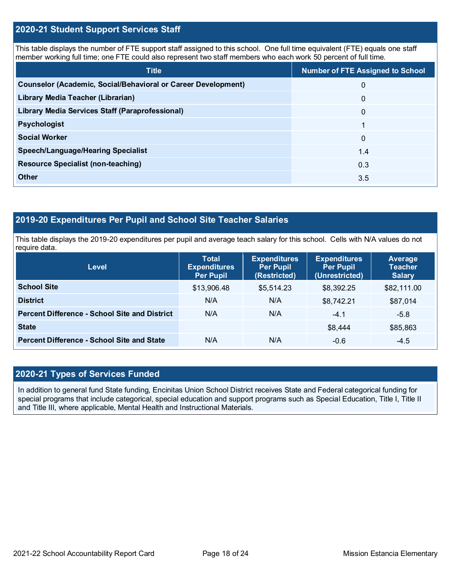## **2020-21 Student Support Services Staff**

This table displays the number of FTE support staff assigned to this school. One full time equivalent (FTE) equals one staff member working full time; one FTE could also represent two staff members who each work 50 percent of full time.

| <b>Title</b>                                                         | <b>Number of FTE Assigned to School</b> |
|----------------------------------------------------------------------|-----------------------------------------|
| <b>Counselor (Academic, Social/Behavioral or Career Development)</b> | $\mathbf{0}$                            |
| Library Media Teacher (Librarian)                                    | $\mathbf{0}$                            |
| <b>Library Media Services Staff (Paraprofessional)</b>               | $\mathbf{0}$                            |
| <b>Psychologist</b>                                                  |                                         |
| <b>Social Worker</b>                                                 | $\mathbf{0}$                            |
| <b>Speech/Language/Hearing Specialist</b>                            | 1.4                                     |
| <b>Resource Specialist (non-teaching)</b>                            | 0.3                                     |
| <b>Other</b>                                                         | 3.5                                     |

## **2019-20 Expenditures Per Pupil and School Site Teacher Salaries**

This table displays the 2019-20 expenditures per pupil and average teach salary for this school. Cells with N/A values do not require data.

| <b>Level</b>                                         | <b>Total</b><br><b>Expenditures</b><br><b>Per Pupil</b> | <b>Expenditures</b><br><b>Per Pupil</b><br>(Restricted) | <b>Expenditures</b><br><b>Per Pupil</b><br>(Unrestricted) | Average<br><b>Teacher</b><br><b>Salary</b> |
|------------------------------------------------------|---------------------------------------------------------|---------------------------------------------------------|-----------------------------------------------------------|--------------------------------------------|
| <b>School Site</b>                                   | \$13,906.48                                             | \$5,514.23                                              | \$8,392.25                                                | \$82,111.00                                |
| <b>District</b>                                      | N/A                                                     | N/A                                                     | \$8,742.21                                                | \$87,014                                   |
| <b>Percent Difference - School Site and District</b> | N/A                                                     | N/A                                                     | $-4.1$                                                    | $-5.8$                                     |
| <b>State</b>                                         |                                                         |                                                         | \$8,444                                                   | \$85,863                                   |
| <b>Percent Difference - School Site and State</b>    | N/A                                                     | N/A                                                     | $-0.6$                                                    | $-4.5$                                     |

## **2020-21 Types of Services Funded**

In addition to general fund State funding, Encinitas Union School District receives State and Federal categorical funding for special programs that include categorical, special education and support programs such as Special Education, Title I, Title II and Title III, where applicable, Mental Health and Instructional Materials.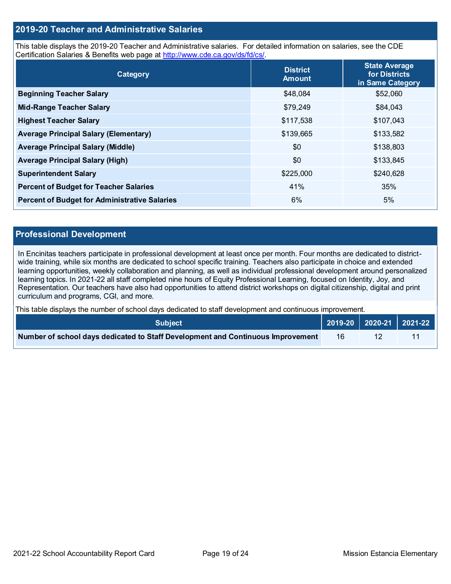## **2019-20 Teacher and Administrative Salaries**

This table displays the 2019-20 Teacher and Administrative salaries. For detailed information on salaries, see the CDE Certification Salaries & Benefits web page at [http://www.cde.ca.gov/ds/fd/cs/.](http://www.cde.ca.gov/ds/fd/cs/)

| Category                                             | <b>District</b><br><b>Amount</b> | <b>State Average</b><br>for Districts<br>in Same Category |
|------------------------------------------------------|----------------------------------|-----------------------------------------------------------|
| <b>Beginning Teacher Salary</b>                      | \$48,084                         | \$52,060                                                  |
| <b>Mid-Range Teacher Salary</b>                      | \$79,249                         | \$84,043                                                  |
| <b>Highest Teacher Salary</b>                        | \$117,538                        | \$107,043                                                 |
| <b>Average Principal Salary (Elementary)</b>         | \$139,665                        | \$133,582                                                 |
| <b>Average Principal Salary (Middle)</b>             | \$0                              | \$138,803                                                 |
| <b>Average Principal Salary (High)</b>               | \$0                              | \$133,845                                                 |
| <b>Superintendent Salary</b>                         | \$225,000                        | \$240,628                                                 |
| <b>Percent of Budget for Teacher Salaries</b>        | 41%                              | 35%                                                       |
| <b>Percent of Budget for Administrative Salaries</b> | 6%                               | 5%                                                        |

#### **Professional Development**

In Encinitas teachers participate in professional development at least once per month. Four months are dedicated to districtwide training, while six months are dedicated to school specific training. Teachers also participate in choice and extended learning opportunities, weekly collaboration and planning, as well as individual professional development around personalized learning topics. In 2021-22 all staff completed nine hours of Equity Professional Learning, focused on Identity, Joy, and Representation. Our teachers have also had opportunities to attend district workshops on digital citizenship, digital and print curriculum and programs, CGI, and more.

This table displays the number of school days dedicated to staff development and continuous improvement.

| <b>Subiect</b> \                                                                |    |  |
|---------------------------------------------------------------------------------|----|--|
| Number of school days dedicated to Staff Development and Continuous Improvement | 16 |  |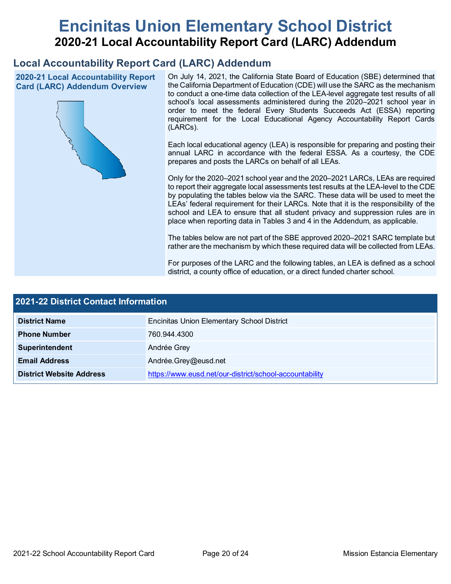# **Encinitas Union Elementary School District 2020-21 Local Accountability Report Card (LARC) Addendum**

## **Local Accountability Report Card (LARC) Addendum**

**2020-21 Local Accountability Report Card (LARC) Addendum Overview**



On July 14, 2021, the California State Board of Education (SBE) determined that the California Department of Education (CDE) will use the SARC as the mechanism to conduct a one-time data collection of the LEA-level aggregate test results of all school's local assessments administered during the 2020–2021 school year in order to meet the federal Every Students Succeeds Act (ESSA) reporting requirement for the Local Educational Agency Accountability Report Cards (LARCs).

Each local educational agency (LEA) is responsible for preparing and posting their annual LARC in accordance with the federal ESSA. As a courtesy, the CDE prepares and posts the LARCs on behalf of all LEAs.

Only for the 2020–2021 school year and the 2020–2021 LARCs, LEAs are required to report their aggregate local assessments test results at the LEA-level to the CDE by populating the tables below via the SARC. These data will be used to meet the LEAs' federal requirement for their LARCs. Note that it is the responsibility of the school and LEA to ensure that all student privacy and suppression rules are in place when reporting data in Tables 3 and 4 in the Addendum, as applicable.

The tables below are not part of the SBE approved 2020–2021 SARC template but rather are the mechanism by which these required data will be collected from LEAs.

For purposes of the LARC and the following tables, an LEA is defined as a school district, a county office of education, or a direct funded charter school.

| <b>2021-22 District Contact Information</b> |                                                         |  |  |  |
|---------------------------------------------|---------------------------------------------------------|--|--|--|
| <b>District Name</b>                        | <b>Encinitas Union Elementary School District</b>       |  |  |  |
| <b>Phone Number</b>                         | 760.944.4300                                            |  |  |  |
| Superintendent                              | Andrée Grey                                             |  |  |  |
| <b>Email Address</b>                        | Andrée.Grey@eusd.net                                    |  |  |  |
| <b>District Website Address</b>             | https://www.eusd.net/our-district/school-accountability |  |  |  |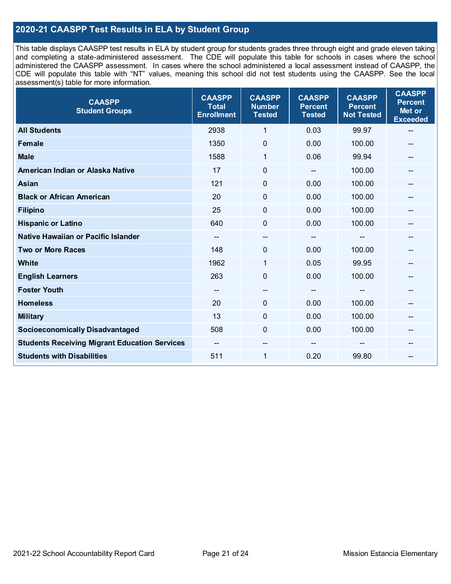## **2020-21 CAASPP Test Results in ELA by Student Group**

This table displays CAASPP test results in ELA by student group for students grades three through eight and grade eleven taking and completing a state-administered assessment. The CDE will populate this table for schools in cases where the school administered the CAASPP assessment. In cases where the school administered a local assessment instead of CAASPP, the CDE will populate this table with "NT" values, meaning this school did not test students using the CAASPP. See the local assessment(s) table for more information.

| <b>CAASPP</b><br><b>Student Groups</b>               | <b>CAASPP</b><br><b>Total</b><br><b>Enrollment</b> | <b>CAASPP</b><br><b>Number</b><br><b>Tested</b> | <b>CAASPP</b><br><b>Percent</b><br><b>Tested</b> | <b>CAASPP</b><br><b>Percent</b><br><b>Not Tested</b> | <b>CAASPP</b><br><b>Percent</b><br>Met or<br><b>Exceeded</b> |
|------------------------------------------------------|----------------------------------------------------|-------------------------------------------------|--------------------------------------------------|------------------------------------------------------|--------------------------------------------------------------|
| <b>All Students</b>                                  | 2938                                               | 1                                               | 0.03                                             | 99.97                                                | --                                                           |
| <b>Female</b>                                        | 1350                                               | $\pmb{0}$                                       | 0.00                                             | 100.00                                               | --                                                           |
| <b>Male</b>                                          | 1588                                               | 1                                               | 0.06                                             | 99.94                                                | --                                                           |
| American Indian or Alaska Native                     | 17                                                 | $\mathbf 0$                                     |                                                  | 100.00                                               | --                                                           |
| <b>Asian</b>                                         | 121                                                | 0                                               | 0.00                                             | 100.00                                               | --                                                           |
| <b>Black or African American</b>                     | 20                                                 | $\mathbf 0$                                     | 0.00                                             | 100.00                                               | --                                                           |
| <b>Filipino</b>                                      | 25                                                 | $\mathbf 0$                                     | 0.00                                             | 100.00                                               |                                                              |
| <b>Hispanic or Latino</b>                            | 640                                                | $\mathbf 0$                                     | 0.00                                             | 100.00                                               | --                                                           |
| Native Hawaiian or Pacific Islander                  | --                                                 | --                                              | --                                               | --                                                   | --                                                           |
| <b>Two or More Races</b>                             | 148                                                | 0                                               | 0.00                                             | 100.00                                               | --                                                           |
| <b>White</b>                                         | 1962                                               | $\mathbf{1}$                                    | 0.05                                             | 99.95                                                |                                                              |
| <b>English Learners</b>                              | 263                                                | $\mathbf 0$                                     | 0.00                                             | 100.00                                               |                                                              |
| <b>Foster Youth</b>                                  | $\overline{\phantom{m}}$                           | $\overline{\phantom{a}}$                        | $\overline{\phantom{a}}$                         | $-$                                                  | $\mathbf{m}$                                                 |
| <b>Homeless</b>                                      | 20                                                 | $\mathbf 0$                                     | 0.00                                             | 100.00                                               | --                                                           |
| <b>Military</b>                                      | 13                                                 | 0                                               | 0.00                                             | 100.00                                               | --                                                           |
| <b>Socioeconomically Disadvantaged</b>               | 508                                                | $\mathbf 0$                                     | 0.00                                             | 100.00                                               | --                                                           |
| <b>Students Receiving Migrant Education Services</b> |                                                    | --                                              |                                                  |                                                      |                                                              |
| <b>Students with Disabilities</b>                    | 511                                                | $\mathbf{1}$                                    | 0.20                                             | 99.80                                                | $\qquad \qquad \qquad \qquad$                                |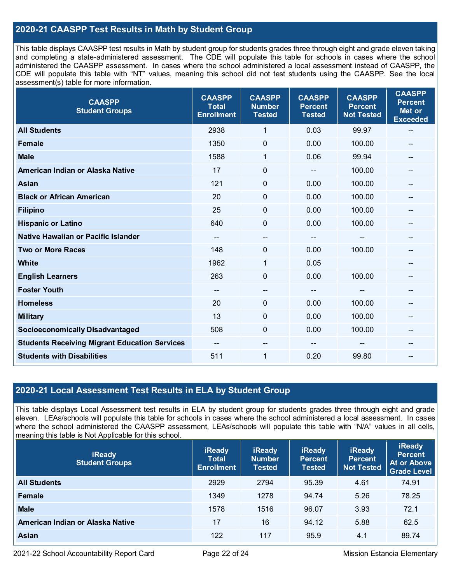## **2020-21 CAASPP Test Results in Math by Student Group**

This table displays CAASPP test results in Math by student group for students grades three through eight and grade eleven taking and completing a state-administered assessment. The CDE will populate this table for schools in cases where the school administered the CAASPP assessment. In cases where the school administered a local assessment instead of CAASPP, the CDE will populate this table with "NT" values, meaning this school did not test students using the CAASPP. See the local assessment(s) table for more information.

| <b>CAASPP</b><br><b>Student Groups</b>               | <b>CAASPP</b><br><b>Total</b><br><b>Enrollment</b> | <b>CAASPP</b><br><b>Number</b><br><b>Tested</b> | <b>CAASPP</b><br><b>Percent</b><br><b>Tested</b> | <b>CAASPP</b><br><b>Percent</b><br><b>Not Tested</b> | <b>CAASPP</b><br><b>Percent</b><br>Met or<br><b>Exceeded</b> |
|------------------------------------------------------|----------------------------------------------------|-------------------------------------------------|--------------------------------------------------|------------------------------------------------------|--------------------------------------------------------------|
| <b>All Students</b>                                  | 2938                                               | $\mathbf{1}$                                    | 0.03                                             | 99.97                                                | --                                                           |
| <b>Female</b>                                        | 1350                                               | $\mathbf 0$                                     | 0.00                                             | 100.00                                               |                                                              |
| <b>Male</b>                                          | 1588                                               | 1                                               | 0.06                                             | 99.94                                                | $-$                                                          |
| American Indian or Alaska Native                     | 17                                                 | 0                                               | --                                               | 100.00                                               | --                                                           |
| <b>Asian</b>                                         | 121                                                | 0                                               | 0.00                                             | 100.00                                               | --                                                           |
| <b>Black or African American</b>                     | 20                                                 | $\mathbf{0}$                                    | 0.00                                             | 100.00                                               |                                                              |
| <b>Filipino</b>                                      | 25                                                 | $\mathbf 0$                                     | 0.00                                             | 100.00                                               |                                                              |
| <b>Hispanic or Latino</b>                            | 640                                                | 0                                               | 0.00                                             | 100.00                                               | $\overline{\phantom{a}}$                                     |
| Native Hawaiian or Pacific Islander                  | $\overline{\phantom{a}}$                           | --                                              | --                                               | --                                                   | --                                                           |
| <b>Two or More Races</b>                             | 148                                                | 0                                               | 0.00                                             | 100.00                                               | --                                                           |
| <b>White</b>                                         | 1962                                               | 1                                               | 0.05                                             |                                                      |                                                              |
| <b>English Learners</b>                              | 263                                                | $\mathbf 0$                                     | 0.00                                             | 100.00                                               |                                                              |
| <b>Foster Youth</b>                                  | $\overline{\phantom{a}}$                           | $\hspace{0.05cm}$ – $\hspace{0.05cm}$           | $\overline{\phantom{a}}$                         | $\hspace{0.05cm}$ – $\hspace{0.05cm}$                | --                                                           |
| <b>Homeless</b>                                      | 20                                                 | 0                                               | 0.00                                             | 100.00                                               | --                                                           |
| <b>Military</b>                                      | 13                                                 | 0                                               | 0.00                                             | 100.00                                               |                                                              |
| <b>Socioeconomically Disadvantaged</b>               | 508                                                | 0                                               | 0.00                                             | 100.00                                               | --                                                           |
| <b>Students Receiving Migrant Education Services</b> | $\overline{\phantom{a}}$                           | --                                              |                                                  |                                                      |                                                              |
| <b>Students with Disabilities</b>                    | 511                                                | 1                                               | 0.20                                             | 99.80                                                | $-$                                                          |

## **2020-21 Local Assessment Test Results in ELA by Student Group**

This table displays Local Assessment test results in ELA by student group for students grades three through eight and grade eleven. LEAs/schools will populate this table for schools in cases where the school administered a local assessment. In cases where the school administered the CAASPP assessment, LEAs/schools will populate this table with "N/A" values in all cells, meaning this table is Not Applicable for this school.

| <b>iReady</b><br><b>Student Groups</b> | <b>iReady</b><br><b>Total</b><br><b>Enrollment</b> | <b>iReady</b><br><b>Number</b><br><b>Tested</b> | <b>iReady</b><br><b>Percent</b><br><b>Tested</b> | <b>iReady</b><br><b>Percent</b><br><b>Not Tested</b> | <b>iReady</b><br><b>Percent</b><br>At or Above<br><b>Grade Level</b> |
|----------------------------------------|----------------------------------------------------|-------------------------------------------------|--------------------------------------------------|------------------------------------------------------|----------------------------------------------------------------------|
| <b>All Students</b>                    | 2929                                               | 2794                                            | 95.39                                            | 4.61                                                 | 74.91                                                                |
| Female                                 | 1349                                               | 1278                                            | 94.74                                            | 5.26                                                 | 78.25                                                                |
| <b>Male</b>                            | 1578                                               | 1516                                            | 96.07                                            | 3.93                                                 | 72.1                                                                 |
| American Indian or Alaska Native       | 17                                                 | 16                                              | 94.12                                            | 5.88                                                 | 62.5                                                                 |
| <b>Asian</b>                           | 122                                                | 117                                             | 95.9                                             | 4.1                                                  | 89.74                                                                |

2021-22 School Accountability Report Card Page 22 of 24 Mission Estancia Elementary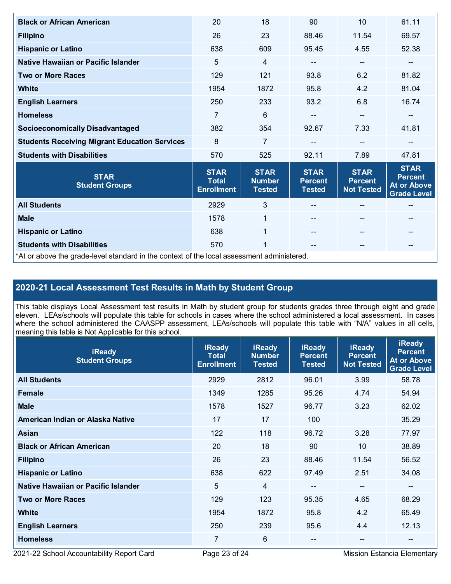| <b>Black or African American</b>                                                           | 20                                               | 18                                            | 90                                             | 10                                                 | 61.11                                                              |  |
|--------------------------------------------------------------------------------------------|--------------------------------------------------|-----------------------------------------------|------------------------------------------------|----------------------------------------------------|--------------------------------------------------------------------|--|
| <b>Filipino</b>                                                                            | 26                                               | 23                                            | 88.46                                          | 11.54                                              | 69.57                                                              |  |
| <b>Hispanic or Latino</b>                                                                  | 638                                              | 609                                           | 95.45                                          | 4.55                                               | 52.38                                                              |  |
| Native Hawaiian or Pacific Islander                                                        | 5                                                | $\overline{4}$                                | --                                             | --                                                 | --                                                                 |  |
| <b>Two or More Races</b>                                                                   | 129                                              | 121                                           | 93.8                                           | 6.2                                                | 81.82                                                              |  |
| White                                                                                      | 1954                                             | 1872                                          | 95.8                                           | 4.2                                                | 81.04                                                              |  |
| <b>English Learners</b>                                                                    | 250                                              | 233                                           | 93.2                                           | 6.8                                                | 16.74                                                              |  |
| <b>Homeless</b>                                                                            | 7                                                | 6                                             | --                                             | $-$                                                |                                                                    |  |
| <b>Socioeconomically Disadvantaged</b>                                                     | 382                                              | 354                                           | 92.67                                          | 7.33                                               | 41.81                                                              |  |
| <b>Students Receiving Migrant Education Services</b>                                       | 8                                                | $\overline{7}$                                |                                                | $\qquad \qquad -$                                  | --                                                                 |  |
| <b>Students with Disabilities</b>                                                          | 570                                              | 525                                           | 92.11                                          | 7.89                                               | 47.81                                                              |  |
| <b>STAR</b><br><b>Student Groups</b>                                                       | <b>STAR</b><br><b>Total</b><br><b>Enrollment</b> | <b>STAR</b><br><b>Number</b><br><b>Tested</b> | <b>STAR</b><br><b>Percent</b><br><b>Tested</b> | <b>STAR</b><br><b>Percent</b><br><b>Not Tested</b> | <b>STAR</b><br><b>Percent</b><br>At or Above<br><b>Grade Level</b> |  |
| <b>All Students</b>                                                                        | 2929                                             | 3                                             |                                                |                                                    |                                                                    |  |
| <b>Male</b>                                                                                | 1578                                             | $\mathbf{1}$                                  |                                                | $\qquad \qquad -$                                  | --                                                                 |  |
| <b>Hispanic or Latino</b>                                                                  | 638                                              | $\mathbf{1}$                                  |                                                | $-$                                                | --                                                                 |  |
| <b>Students with Disabilities</b>                                                          | 570                                              | 1                                             | $\qquad \qquad -$                              | $- -$                                              | --                                                                 |  |
| *At or above the grade-level standard in the context of the local assessment administered. |                                                  |                                               |                                                |                                                    |                                                                    |  |

# **2020-21 Local Assessment Test Results in Math by Student Group**

This table displays Local Assessment test results in Math by student group for students grades three through eight and grade eleven. LEAs/schools will populate this table for schools in cases where the school administered a local assessment. In cases where the school administered the CAASPP assessment, LEAs/schools will populate this table with "N/A" values in all cells, meaning this table is Not Applicable for this school.

| <b>iReady</b><br><b>Student Groups</b> | <b>iReady</b><br><b>Total</b><br><b>Enrollment</b> | <b>iReady</b><br><b>Number</b><br><b>Tested</b> | <b>iReady</b><br><b>Percent</b><br><b>Tested</b> | <b>iReady</b><br><b>Percent</b><br><b>Not Tested</b> | <b>iReady</b><br><b>Percent</b><br><b>At or Above</b><br><b>Grade Level</b> |
|----------------------------------------|----------------------------------------------------|-------------------------------------------------|--------------------------------------------------|------------------------------------------------------|-----------------------------------------------------------------------------|
| <b>All Students</b>                    | 2929                                               | 2812                                            | 96.01                                            | 3.99                                                 | 58.78                                                                       |
| Female                                 | 1349                                               | 1285                                            | 95.26                                            | 4.74                                                 | 54.94                                                                       |
| <b>Male</b>                            | 1578                                               | 1527                                            | 96.77                                            | 3.23                                                 | 62.02                                                                       |
| American Indian or Alaska Native       | 17                                                 | 17                                              | 100                                              |                                                      | 35.29                                                                       |
| Asian                                  | 122                                                | 118                                             | 96.72                                            | 3.28                                                 | 77.97                                                                       |
| <b>Black or African American</b>       | 20                                                 | 18                                              | 90                                               | 10                                                   | 38.89                                                                       |
| <b>Filipino</b>                        | 26                                                 | 23                                              | 88.46                                            | 11.54                                                | 56.52                                                                       |
| <b>Hispanic or Latino</b>              | 638                                                | 622                                             | 97.49                                            | 2.51                                                 | 34.08                                                                       |
| Native Hawaiian or Pacific Islander    | 5                                                  | 4                                               | $\overline{\phantom{m}}$                         | --                                                   | --                                                                          |
| <b>Two or More Races</b>               | 129                                                | 123                                             | 95.35                                            | 4.65                                                 | 68.29                                                                       |
| <b>White</b>                           | 1954                                               | 1872                                            | 95.8                                             | 4.2                                                  | 65.49                                                                       |
| <b>English Learners</b>                | 250                                                | 239                                             | 95.6                                             | 4.4                                                  | 12.13                                                                       |
| <b>Homeless</b>                        | 7                                                  | 6                                               | $- -$                                            | --                                                   | --                                                                          |